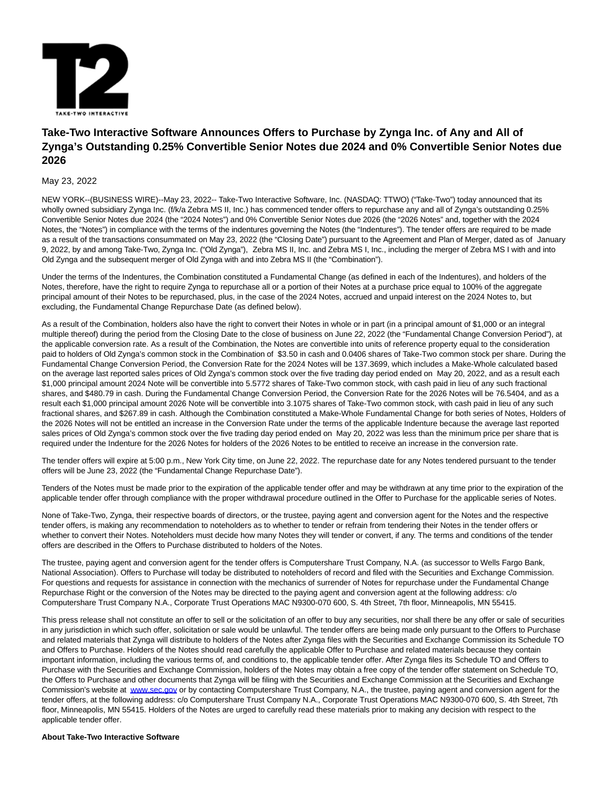

# **Take-Two Interactive Software Announces Offers to Purchase by Zynga Inc. of Any and All of Zynga's Outstanding 0.25% Convertible Senior Notes due 2024 and 0% Convertible Senior Notes due 2026**

## May 23, 2022

NEW YORK--(BUSINESS WIRE)--May 23, 2022-- Take-Two Interactive Software, Inc. (NASDAQ: TTWO) ("Take-Two") today announced that its wholly owned subsidiary Zynga Inc. (f/k/a Zebra MS II, Inc.) has commenced tender offers to repurchase any and all of Zynga's outstanding 0.25% Convertible Senior Notes due 2024 (the "2024 Notes") and 0% Convertible Senior Notes due 2026 (the "2026 Notes" and, together with the 2024 Notes, the "Notes") in compliance with the terms of the indentures governing the Notes (the "Indentures"). The tender offers are required to be made as a result of the transactions consummated on May 23, 2022 (the "Closing Date") pursuant to the Agreement and Plan of Merger, dated as of January 9, 2022, by and among Take-Two, Zynga Inc. ("Old Zynga"), Zebra MS II, Inc. and Zebra MS I, Inc., including the merger of Zebra MS I with and into Old Zynga and the subsequent merger of Old Zynga with and into Zebra MS II (the "Combination").

Under the terms of the Indentures, the Combination constituted a Fundamental Change (as defined in each of the Indentures), and holders of the Notes, therefore, have the right to require Zynga to repurchase all or a portion of their Notes at a purchase price equal to 100% of the aggregate principal amount of their Notes to be repurchased, plus, in the case of the 2024 Notes, accrued and unpaid interest on the 2024 Notes to, but excluding, the Fundamental Change Repurchase Date (as defined below).

As a result of the Combination, holders also have the right to convert their Notes in whole or in part (in a principal amount of \$1,000 or an integral multiple thereof) during the period from the Closing Date to the close of business on June 22, 2022 (the "Fundamental Change Conversion Period"), at the applicable conversion rate. As a result of the Combination, the Notes are convertible into units of reference property equal to the consideration paid to holders of Old Zynga's common stock in the Combination of \$3.50 in cash and 0.0406 shares of Take-Two common stock per share. During the Fundamental Change Conversion Period, the Conversion Rate for the 2024 Notes will be 137.3699, which includes a Make-Whole calculated based on the average last reported sales prices of Old Zynga's common stock over the five trading day period ended on May 20, 2022, and as a result each \$1,000 principal amount 2024 Note will be convertible into 5.5772 shares of Take-Two common stock, with cash paid in lieu of any such fractional shares, and \$480.79 in cash. During the Fundamental Change Conversion Period, the Conversion Rate for the 2026 Notes will be 76.5404, and as a result each \$1,000 principal amount 2026 Note will be convertible into 3.1075 shares of Take-Two common stock, with cash paid in lieu of any such fractional shares, and \$267.89 in cash. Although the Combination constituted a Make-Whole Fundamental Change for both series of Notes, Holders of the 2026 Notes will not be entitled an increase in the Conversion Rate under the terms of the applicable Indenture because the average last reported sales prices of Old Zynga's common stock over the five trading day period ended on May 20, 2022 was less than the minimum price per share that is required under the Indenture for the 2026 Notes for holders of the 2026 Notes to be entitled to receive an increase in the conversion rate.

The tender offers will expire at 5:00 p.m., New York City time, on June 22, 2022. The repurchase date for any Notes tendered pursuant to the tender offers will be June 23, 2022 (the "Fundamental Change Repurchase Date").

Tenders of the Notes must be made prior to the expiration of the applicable tender offer and may be withdrawn at any time prior to the expiration of the applicable tender offer through compliance with the proper withdrawal procedure outlined in the Offer to Purchase for the applicable series of Notes.

None of Take-Two, Zynga, their respective boards of directors, or the trustee, paying agent and conversion agent for the Notes and the respective tender offers, is making any recommendation to noteholders as to whether to tender or refrain from tendering their Notes in the tender offers or whether to convert their Notes. Noteholders must decide how many Notes they will tender or convert, if any. The terms and conditions of the tender offers are described in the Offers to Purchase distributed to holders of the Notes.

The trustee, paying agent and conversion agent for the tender offers is Computershare Trust Company, N.A. (as successor to Wells Fargo Bank, National Association). Offers to Purchase will today be distributed to noteholders of record and filed with the Securities and Exchange Commission. For questions and requests for assistance in connection with the mechanics of surrender of Notes for repurchase under the Fundamental Change Repurchase Right or the conversion of the Notes may be directed to the paying agent and conversion agent at the following address: c/o Computershare Trust Company N.A., Corporate Trust Operations MAC N9300-070 600, S. 4th Street, 7th floor, Minneapolis, MN 55415.

This press release shall not constitute an offer to sell or the solicitation of an offer to buy any securities, nor shall there be any offer or sale of securities in any jurisdiction in which such offer, solicitation or sale would be unlawful. The tender offers are being made only pursuant to the Offers to Purchase and related materials that Zynga will distribute to holders of the Notes after Zynga files with the Securities and Exchange Commission its Schedule TO and Offers to Purchase. Holders of the Notes should read carefully the applicable Offer to Purchase and related materials because they contain important information, including the various terms of, and conditions to, the applicable tender offer. After Zynga files its Schedule TO and Offers to Purchase with the Securities and Exchange Commission, holders of the Notes may obtain a free copy of the tender offer statement on Schedule TO, the Offers to Purchase and other documents that Zynga will be filing with the Securities and Exchange Commission at the Securities and Exchange Commission's website at [www.sec.gov o](https://cts.businesswire.com/ct/CT?id=smartlink&url=http%3A%2F%2Fwww.sec.gov&esheet=52728677&newsitemid=20220523006009&lan=en-US&anchor=www.sec.gov&index=1&md5=39a172d2e908e14b1a2f93aa17c7590e)r by contacting Computershare Trust Company, N.A., the trustee, paying agent and conversion agent for the tender offers, at the following address: c/o Computershare Trust Company N.A., Corporate Trust Operations MAC N9300-070 600, S. 4th Street, 7th floor, Minneapolis, MN 55415. Holders of the Notes are urged to carefully read these materials prior to making any decision with respect to the applicable tender offer.

### **About Take-Two Interactive Software**